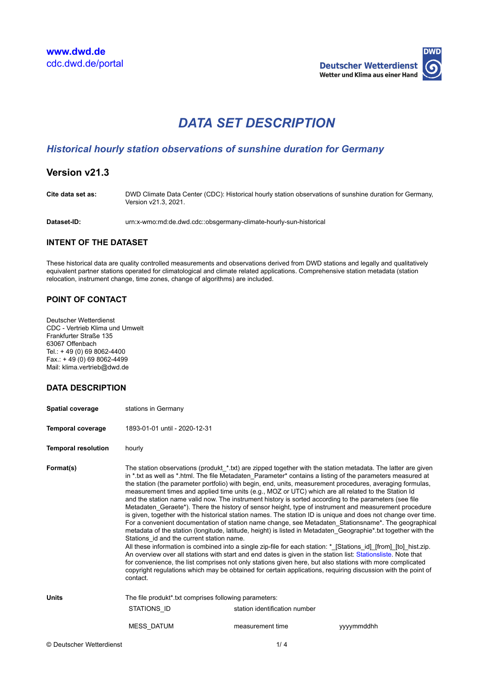

# *DATA SET DESCRIPTION*

# *Historical hourly station observations of sunshine duration for Germany*

# **Version v21.3**

**Cite data set as:** DWD Climate Data Center (CDC): Historical hourly station observations of sunshine duration for Germany, Version v21.3, 2021.

**Dataset-ID:** urn:x-wmo:md:de.dwd.cdc::obsgermany-climate-hourly-sun-historical

# **INTENT OF THE DATASET**

These historical data are quality controlled measurements and observations derived from DWD stations and legally and qualitatively equivalent partner stations operated for climatological and climate related applications. Comprehensive station metadata (station relocation, instrument change, time zones, change of algorithms) are included.

# **POINT OF CONTACT**

Deutscher Wetterdienst CDC - Vertrieb Klima und Umwelt Frankfurter Straße 135 63067 Offenbach Tel.: + 49 (0) 69 8062-4400  $Fax.: + 49(0)698062-4499$ Mail: klima.vertrieb@dwd.de

## **DATA DESCRIPTION**

| <b>Spatial coverage</b>    | stations in Germany                                                                                                                                                                                                                                                                                                                                                                                                                                                                                                                                                                                                                                                                                                                                                                                                                                                                                                                                                                                                                                                                                                                                                                                                                                                                                                                                                                                                                                                                                                                     |                               |            |  |
|----------------------------|-----------------------------------------------------------------------------------------------------------------------------------------------------------------------------------------------------------------------------------------------------------------------------------------------------------------------------------------------------------------------------------------------------------------------------------------------------------------------------------------------------------------------------------------------------------------------------------------------------------------------------------------------------------------------------------------------------------------------------------------------------------------------------------------------------------------------------------------------------------------------------------------------------------------------------------------------------------------------------------------------------------------------------------------------------------------------------------------------------------------------------------------------------------------------------------------------------------------------------------------------------------------------------------------------------------------------------------------------------------------------------------------------------------------------------------------------------------------------------------------------------------------------------------------|-------------------------------|------------|--|
| <b>Temporal coverage</b>   | 1893-01-01 until - 2020-12-31                                                                                                                                                                                                                                                                                                                                                                                                                                                                                                                                                                                                                                                                                                                                                                                                                                                                                                                                                                                                                                                                                                                                                                                                                                                                                                                                                                                                                                                                                                           |                               |            |  |
| <b>Temporal resolution</b> | hourly                                                                                                                                                                                                                                                                                                                                                                                                                                                                                                                                                                                                                                                                                                                                                                                                                                                                                                                                                                                                                                                                                                                                                                                                                                                                                                                                                                                                                                                                                                                                  |                               |            |  |
| Format(s)                  | The station observations (produkt *.txt) are zipped together with the station metadata. The latter are given<br>in * txt as well as * html. The file Metadaten Parameter* contains a listing of the parameters measured at<br>the station (the parameter portfolio) with begin, end, units, measurement procedures, averaging formulas,<br>measurement times and applied time units (e.g., MOZ or UTC) which are all related to the Station Id<br>and the station name valid now. The instrument history is sorted according to the parameters (see file<br>Metadaten Geraete*). There the history of sensor height, type of instrument and measurement procedure<br>is given, together with the historical station names. The station ID is unique and does not change over time.<br>For a convenient documentation of station name change, see Metadaten_Stationsname*. The geographical<br>metadata of the station (longitude, latitude, height) is listed in Metadaten Geographie* txt together with the<br>Stations id and the current station name.<br>All these information is combined into a single zip-file for each station: *_[Stations_id]_[from]_[to]_hist.zip.<br>An overview over all stations with start and end dates is given in the station list: Stationsliste. Note that<br>for convenience, the list comprises not only stations given here, but also stations with more complicated<br>copyright regulations which may be obtained for certain applications, reguiring discussion with the point of<br>contact. |                               |            |  |
| <b>Units</b>               | The file produkt* txt comprises following parameters:                                                                                                                                                                                                                                                                                                                                                                                                                                                                                                                                                                                                                                                                                                                                                                                                                                                                                                                                                                                                                                                                                                                                                                                                                                                                                                                                                                                                                                                                                   |                               |            |  |
|                            | STATIONS ID                                                                                                                                                                                                                                                                                                                                                                                                                                                                                                                                                                                                                                                                                                                                                                                                                                                                                                                                                                                                                                                                                                                                                                                                                                                                                                                                                                                                                                                                                                                             | station identification number |            |  |
|                            | <b>MESS DATUM</b>                                                                                                                                                                                                                                                                                                                                                                                                                                                                                                                                                                                                                                                                                                                                                                                                                                                                                                                                                                                                                                                                                                                                                                                                                                                                                                                                                                                                                                                                                                                       | measurement time              | yyyymmddhh |  |
| © Deutscher Wetterdienst   |                                                                                                                                                                                                                                                                                                                                                                                                                                                                                                                                                                                                                                                                                                                                                                                                                                                                                                                                                                                                                                                                                                                                                                                                                                                                                                                                                                                                                                                                                                                                         | 1/4                           |            |  |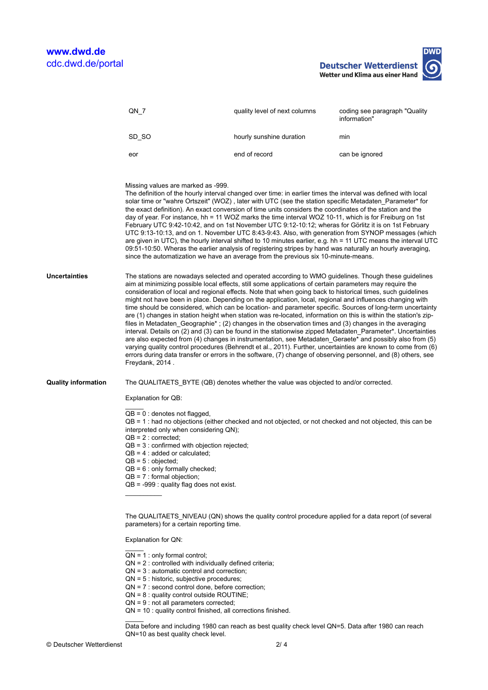**DWD Deutscher Wetterdienst** Wetter und Klima aus einer Hand

|                            | $QN_7$                                                                                                                                                                                                                                                                                                                                                                                                                                                                                                                                                                                                                                                                                                                                                                                                                                                                                                                                                                                                                                                                                                                                                                                                                                                               | quality level of next columns                                                        | coding see paragraph "Quality |  |
|----------------------------|----------------------------------------------------------------------------------------------------------------------------------------------------------------------------------------------------------------------------------------------------------------------------------------------------------------------------------------------------------------------------------------------------------------------------------------------------------------------------------------------------------------------------------------------------------------------------------------------------------------------------------------------------------------------------------------------------------------------------------------------------------------------------------------------------------------------------------------------------------------------------------------------------------------------------------------------------------------------------------------------------------------------------------------------------------------------------------------------------------------------------------------------------------------------------------------------------------------------------------------------------------------------|--------------------------------------------------------------------------------------|-------------------------------|--|
|                            |                                                                                                                                                                                                                                                                                                                                                                                                                                                                                                                                                                                                                                                                                                                                                                                                                                                                                                                                                                                                                                                                                                                                                                                                                                                                      |                                                                                      | information"                  |  |
|                            | SD_SO                                                                                                                                                                                                                                                                                                                                                                                                                                                                                                                                                                                                                                                                                                                                                                                                                                                                                                                                                                                                                                                                                                                                                                                                                                                                | hourly sunshine duration                                                             | min                           |  |
|                            | eor                                                                                                                                                                                                                                                                                                                                                                                                                                                                                                                                                                                                                                                                                                                                                                                                                                                                                                                                                                                                                                                                                                                                                                                                                                                                  | end of record                                                                        | can be ignored                |  |
|                            |                                                                                                                                                                                                                                                                                                                                                                                                                                                                                                                                                                                                                                                                                                                                                                                                                                                                                                                                                                                                                                                                                                                                                                                                                                                                      |                                                                                      |                               |  |
|                            | Missing values are marked as -999.<br>The definition of the hourly interval changed over time: in earlier times the interval was defined with local<br>solar time or "wahre Ortszeit" (WOZ), later with UTC (see the station specific Metadaten Parameter* for<br>the exact definition). An exact conversion of time units considers the coordinates of the station and the<br>day of year. For instance, hh = 11 WOZ marks the time interval WOZ 10-11, which is for Freiburg on 1st<br>February UTC 9:42-10:42, and on 1st November UTC 9:12-10:12; wheras for Görlitz it is on 1st February<br>UTC 9:13-10:13, and on 1. November UTC 8:43-9:43. Also, with generation from SYNOP messages (which<br>are given in UTC), the hourly interval shifted to 10 minutes earlier, e.g. hh = 11 UTC means the interval UTC<br>09:51-10:50. Wheras the earlier analysis of registering stripes by hand was naturally an hourly averaging,<br>since the automatization we have an average from the previous six 10-minute-means.                                                                                                                                                                                                                                            |                                                                                      |                               |  |
| <b>Uncertainties</b>       | The stations are nowadays selected and operated according to WMO guidelines. Though these guidelines<br>aim at minimizing possible local effects, still some applications of certain parameters may require the<br>consideration of local and regional effects. Note that when going back to historical times, such guidelines<br>might not have been in place. Depending on the application, local, regional and influences changing with<br>time should be considered, which can be location- and parameter specific. Sources of long-term uncertainty<br>are (1) changes in station height when station was re-located, information on this is within the station's zip-<br>files in Metadaten_Geographie*; (2) changes in the observation times and (3) changes in the averaging<br>interval. Details on (2) and (3) can be found in the stationwise zipped Metadaten_Parameter*. Uncertainties<br>are also expected from (4) changes in instrumentation, see Metadaten_Geraete* and possibly also from (5)<br>varying quality control procedures (Behrendt et al., 2011). Further, uncertainties are known to come from (6)<br>errors during data transfer or errors in the software, (7) change of observing personnel, and (8) others, see<br>Freydank, 2014. |                                                                                      |                               |  |
| <b>Quality information</b> |                                                                                                                                                                                                                                                                                                                                                                                                                                                                                                                                                                                                                                                                                                                                                                                                                                                                                                                                                                                                                                                                                                                                                                                                                                                                      | The QUALITAETS_BYTE (QB) denotes whether the value was objected to and/or corrected. |                               |  |
|                            | Explanation for QB:                                                                                                                                                                                                                                                                                                                                                                                                                                                                                                                                                                                                                                                                                                                                                                                                                                                                                                                                                                                                                                                                                                                                                                                                                                                  |                                                                                      |                               |  |
|                            | $QB = 0$ : denotes not flagged,<br>$QB = 1$ : had no objections (either checked and not objected, or not checked and not objected, this can be<br>interpreted only when considering QN);<br>$QB = 2 :$ corrected:<br>$QB = 3$ : confirmed with objection rejected;<br>$QB = 4: added or calculated;$<br>$QB = 5 : objected;$<br>$QB = 6:$ only formally checked;<br>$QB = 7$ : formal objection;<br>$QB = -999$ : quality flag does not exist.<br>The QUALITAETS NIVEAU (QN) shows the quality control procedure applied for a data report (of several                                                                                                                                                                                                                                                                                                                                                                                                                                                                                                                                                                                                                                                                                                               |                                                                                      |                               |  |
|                            | parameters) for a certain reporting time.                                                                                                                                                                                                                                                                                                                                                                                                                                                                                                                                                                                                                                                                                                                                                                                                                                                                                                                                                                                                                                                                                                                                                                                                                            |                                                                                      |                               |  |
|                            | Explanation for QN:                                                                                                                                                                                                                                                                                                                                                                                                                                                                                                                                                                                                                                                                                                                                                                                                                                                                                                                                                                                                                                                                                                                                                                                                                                                  |                                                                                      |                               |  |
|                            | $QN = 1$ : only formal control;                                                                                                                                                                                                                                                                                                                                                                                                                                                                                                                                                                                                                                                                                                                                                                                                                                                                                                                                                                                                                                                                                                                                                                                                                                      |                                                                                      |                               |  |

- $QN = 2$ : controlled with individually defined criteria;
- QN = 3 : automatic control and correction;
- QN = 5 : historic, subjective procedures;
- QN = 7 : second control done, before correction;
- QN = 8 : quality control outside ROUTINE;
- QN = 9 : not all parameters corrected;
- QN = 10 : quality control finished, all corrections finished.

 $\mathcal{L}$ Data before and including 1980 can reach as best quality check level QN=5. Data after 1980 can reach QN=10 as best quality check level.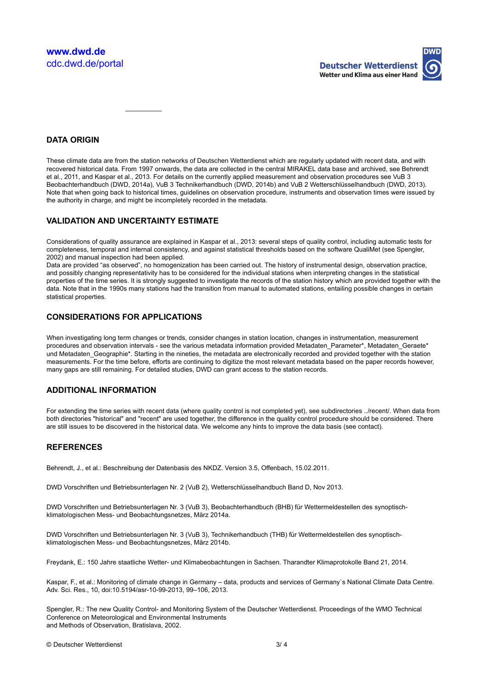

# **DATA ORIGIN**

These climate data are from the station networks of Deutschen Wetterdienst which are regularly updated with recent data, and with recovered historical data. From 1997 onwards, the data are collected in the central MIRAKEL data base and archived, see Behrendt et al., 2011, and Kaspar et al., 2013. For details on the currently applied measurement and observation procedures see VuB 3 Beobachterhandbuch (DWD, 2014a), VuB 3 Technikerhandbuch (DWD, 2014b) and VuB 2 Wetterschlüsselhandbuch (DWD, 2013). Note that when going back to historical times, guidelines on observation procedure, instruments and observation times were issued by the authority in charge, and might be incompletely recorded in the metadata.

#### **VALIDATION AND UNCERTAINTY ESTIMATE**

 $\overline{\phantom{a}}$ 

Considerations of quality assurance are explained in Kaspar et al., 2013: several steps of quality control, including automatic tests for completeness, temporal and internal consistency, and against statistical thresholds based on the software QualiMet (see Spengler, 2002) and manual inspection had been applied.

Data are provided "as observed", no homogenization has been carried out. The history of instrumental design, observation practice, and possibly changing representativity has to be considered for the individual stations when interpreting changes in the statistical properties of the time series. It is strongly suggested to investigate the records of the station history which are provided together with the data. Note that in the 1990s many stations had the transition from manual to automated stations, entailing possible changes in certain statistical properties.

#### **CONSIDERATIONS FOR APPLICATIONS**

When investigating long term changes or trends, consider changes in station location, changes in instrumentation, measurement procedures and observation intervals - see the various metadata information provided Metadaten\_Parameter\*, Metadaten\_Geraete\* und Metadaten Geographie\*. Starting in the nineties, the metadata are electronically recorded and provided together with the station measurements. For the time before, efforts are continuing to digitize the most relevant metadata based on the paper records however, many gaps are still remaining. For detailed studies, DWD can grant access to the station records.

#### **ADDITIONAL INFORMATION**

For extending the time series with recent data (where quality control is not completed yet), see subdirectories ../recent/. When data from both directories "historical" and "recent" are used together, the difference in the quality control procedure should be considered. There are still issues to be discovered in the historical data. We welcome any hints to improve the data basis (see contact).

## **REFERENCES**

Behrendt, J., et al.: Beschreibung der Datenbasis des NKDZ. Version 3.5, Offenbach, 15.02.2011.

DWD Vorschriften und Betriebsunterlagen Nr. 2 (VuB 2), Wetterschlüsselhandbuch Band D, Nov 2013.

DWD Vorschriften und Betriebsunterlagen Nr. 3 (VuB 3), Beobachterhandbuch (BHB) für Wettermeldestellen des synoptischklimatologischen Mess- und Beobachtungsnetzes, März 2014a.

DWD Vorschriften und Betriebsunterlagen Nr. 3 (VuB 3), Technikerhandbuch (THB) für Wettermeldestellen des synoptischklimatologischen Mess- und Beobachtungsnetzes, März 2014b.

Freydank, E.: 150 Jahre staatliche Wetter- und Klimabeobachtungen in Sachsen. Tharandter Klimaprotokolle Band 21, 2014.

Kaspar, F., et al.: Monitoring of climate change in Germany – data, products and services of Germany`s National Climate Data Centre. Adv. Sci. Res., 10, doi:10.5194/asr-10-99-2013, 99–106, 2013.

Spengler, R.: The new Quality Control- and Monitoring System of the Deutscher Wetterdienst. Proceedings of the WMO Technical Conference on Meteorological and Environmental Instruments and Methods of Observation, Bratislava, 2002.